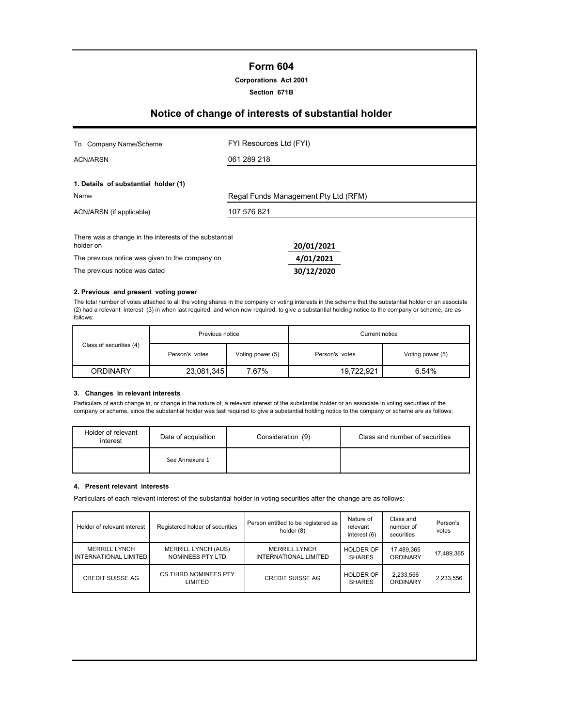## **Form 604**

**Corporations Act 2001**

**Section 671B**

## **Notice of change of interests of substantial holder**

| Company Name/Scheme<br>To                                           | FYI Resources Ltd (FYI) |                                      |  |
|---------------------------------------------------------------------|-------------------------|--------------------------------------|--|
| ACN/ARSN                                                            | 061 289 218             |                                      |  |
| 1. Details of substantial holder (1)                                |                         |                                      |  |
| Name                                                                |                         | Regal Funds Management Pty Ltd (RFM) |  |
| ACN/ARSN (if applicable)                                            | 107 576 821             |                                      |  |
| There was a change in the interests of the substantial<br>holder on |                         | 20/01/2021                           |  |
| The previous notice was given to the company on                     |                         | 4/01/2021                            |  |
| The previous notice was dated                                       |                         | 30/12/2020                           |  |

#### **2. Previous and present voting power**

The total number of votes attached to all the voting shares in the company or voting interests in the scheme that the substantial holder or an associate (2) had a relevant interest (3) in when last required, and when now required, to give a substantial holding notice to the company or scheme, are as follows:

|                         | Previous notice |                  | Current notice |                  |  |
|-------------------------|-----------------|------------------|----------------|------------------|--|
| Class of securities (4) | Person's votes  | Voting power (5) | Person's votes | Voting power (5) |  |
| <b>ORDINARY</b>         | 23,081,345      | 7.67%            | 19,722,921     | 6.54%            |  |

#### **3. Changes in relevant interests**

Particulars of each change in, or change in the nature of, a relevant interest of the substantial holder or an associate in voting securities of the company or scheme, since the substantial holder was last required to give a substantial holding notice to the company or scheme are as follows:

| Holder of relevant<br>interest | Date of acquisition | Consideration (9) | Class and number of securities |
|--------------------------------|---------------------|-------------------|--------------------------------|
|                                | See Annexure 1      |                   |                                |

#### **4. Present relevant interests**

Particulars of each relevant interest of the substantial holder in voting securities after the change are as follows:

| Holder of relevant interest                   | Registered holder of securities                | Person entitled to be registered as<br>holder (8) | Nature of<br>relevant<br>interest (6) | Class and<br>number of<br>securities | Person's<br>votes |
|-----------------------------------------------|------------------------------------------------|---------------------------------------------------|---------------------------------------|--------------------------------------|-------------------|
| <b>MERRILL LYNCH</b><br>INTERNATIONAL LIMITED | <b>MERRILL LYNCH (AUS)</b><br>NOMINEES PTY LTD | <b>MERRILL LYNCH</b><br>INTERNATIONAL LIMITED     | <b>HOLDER OF</b><br><b>SHARES</b>     | 17,489,365<br>ORDINARY               | 17.489.365        |
| <b>CREDIT SUISSE AG</b>                       | CS THIRD NOMINEES PTY<br>LIMITED               | <b>CREDIT SUISSE AG</b>                           | <b>HOLDER OF</b><br><b>SHARES</b>     | 2,233,556<br>ORDINARY                | 2,233,556         |